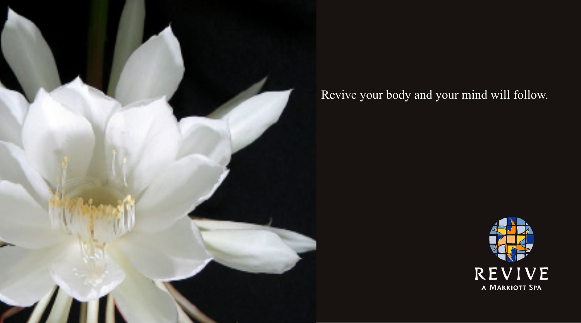

# Revive your body and your mind will follow.

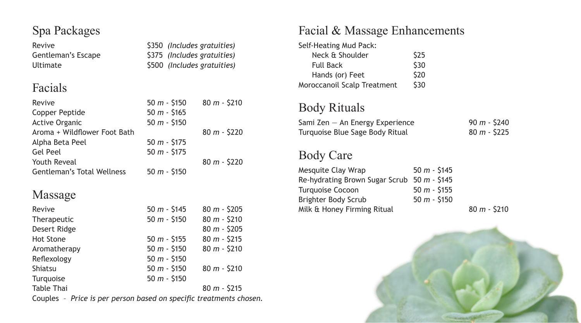#### Spa Packages

Revive **820 Revive 2018** S350 *(Includes gratuities)* Gentleman's Escape \$375 *(Includes gratuities)* Ultimate  $$500$  *(Includes gratuities)* 

## Facials

| Revive                            | $50 m - $150$ | $80 m - $210$ |
|-----------------------------------|---------------|---------------|
| Copper Peptide                    | $50 m - $165$ |               |
| <b>Active Organic</b>             | $50 m - $150$ |               |
| Aroma + Wildflower Foot Bath      |               | $80 m - $220$ |
| Alpha Beta Peel                   | $50 m - $175$ |               |
| Gel Peel                          | $50 m - $175$ |               |
| Youth Reveal                      |               | $80 m - $220$ |
| <b>Gentleman's Total Wellness</b> | $50 m - $150$ |               |

### Massage

| Revive                                                                                          | $50 m - $145$  | $80 m - $205$ |
|-------------------------------------------------------------------------------------------------|----------------|---------------|
| Therapeutic                                                                                     | $50 m - $150$  | $80 m - $210$ |
| Desert Ridge                                                                                    |                | $80 m - $205$ |
| <b>Hot Stone</b>                                                                                | $50 m - $155$  | $80 m - $215$ |
| Aromatherapy                                                                                    | 50 $m -$ \$150 | $80 m - $210$ |
| Reflexology                                                                                     | $50 m - $150$  |               |
| Shiatsu                                                                                         | 50 $m -$ \$150 | $80 m - $210$ |
| Turguoise                                                                                       | 50 $m -$ \$150 |               |
| <b>Table Thai</b>                                                                               |                | $80 m - $215$ |
| $\sim$ $\sim$ $\sim$ $\sim$ $\sim$<br>a da waxaa waxaa kala dadka waxaadda kala ku caba aha aha |                |               |

Couples – *Price is per person based on specific treatments chosen.* 

## Facial & Massage Enhancements

| Self-Heating Mud Pack:      |      |
|-----------------------------|------|
| Neck & Shoulder             | \$25 |
| <b>Full Back</b>            | \$30 |
| Hands (or) Feet             | \$20 |
| Moroccanoil Scalp Treatment | \$30 |

## Body Rituals

| Sami Zen — An Energy Experience | $90 m - $240$ |
|---------------------------------|---------------|
| Turquoise Blue Sage Body Ritual | $80 m - $225$ |

#### Body Care

| Mesquite Clay Wrap                          | $50 m - 5145$ |   |
|---------------------------------------------|---------------|---|
| Re-hydrating Brown Sugar Scrub 50 m - \$145 |               |   |
| Turquoise Cocoon                            | $50 m - $155$ |   |
| Brighter Body Scrub                         | $50 m - $150$ |   |
| Milk & Honey Firming Ritual                 |               | 8 |
|                                             |               |   |

Milk & Honey Firming Ritual 80 *m* - \$210

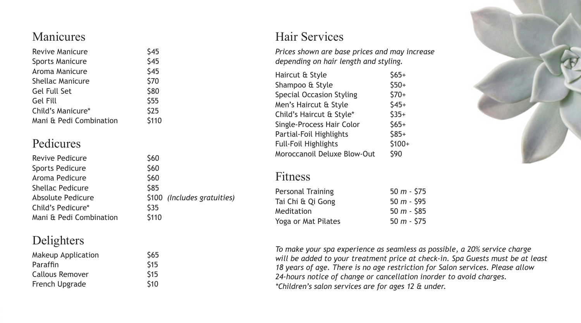#### Manicures

| \$45  |
|-------|
| \$45  |
| \$45  |
| \$70  |
| \$80  |
| \$55  |
| \$25  |
| \$110 |
|       |

#### Pedicures

| \$60                        |
|-----------------------------|
| \$60                        |
| \$60                        |
| \$85                        |
| \$100 (Includes gratuities) |
| \$35                        |
| \$110                       |
|                             |

#### Delighters

| Makeup Application | \$65 |
|--------------------|------|
| Paraffin           | \$15 |
| Callous Remover    | \$15 |
| French Upgrade     | \$10 |

#### Hair Services

*Prices shown are base prices and may increase depending on hair length and styling.*

| Haircut & Style                 | $$65+$ |
|---------------------------------|--------|
| Shampoo & Style                 | $$50+$ |
| <b>Special Occasion Styling</b> | $$70+$ |
| Men's Haircut & Style           | $$45+$ |
| Child's Haircut & Style*        | $$35+$ |
| Single-Process Hair Color       | $$65+$ |
| Partial-Foil Highlights         | $$85+$ |
| Full-Foil Highlights            | \$100+ |
| Moroccanoil Deluxe Blow-Out     | \$90   |
|                                 |        |

#### Fitness

| Personal Training   | 50 $m - 575$  |
|---------------------|---------------|
| Tai Chi & Qi Gong   | 50 $m -$ \$95 |
| Meditation          | $50 m - $85$  |
| Yoga or Mat Pilates | $50 m - 575$  |
|                     |               |



*To make your spa experience as seamless as possible, a 20% service charge will be added to your treatment price at check-in. Spa Guests must be at least 18 years of age. There is no age restriction for Salon services. Please allow 24-hours notice of change or cancellation inorder to avoid charges. \*Children's salon services are for ages 12 & under.*